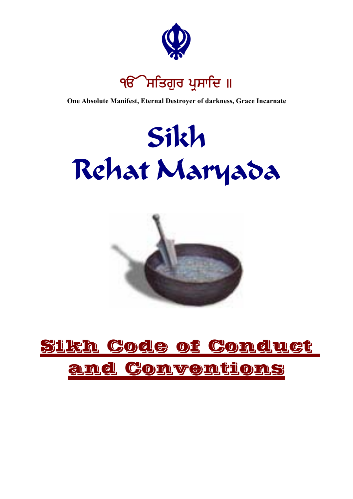

**One Absolute Manifest, Eternal Destroyer of darkness, Grace Incarnate** 

# Sikh Rehat Maryada



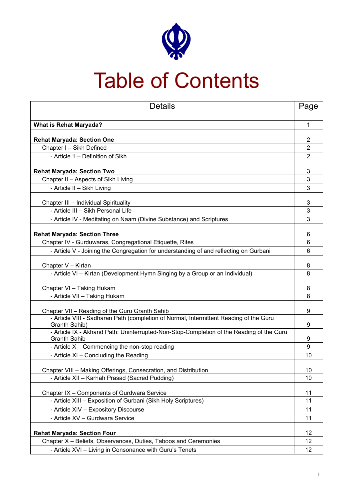

# Table of Contents

| <b>Details</b>                                                                                          | Page           |
|---------------------------------------------------------------------------------------------------------|----------------|
|                                                                                                         |                |
| <b>What is Rehat Maryada?</b>                                                                           | 1              |
| <b>Rehat Maryada: Section One</b>                                                                       | $\overline{2}$ |
| Chapter I - Sikh Defined                                                                                | 2              |
| - Article 1 - Definition of Sikh                                                                        | $\overline{2}$ |
|                                                                                                         |                |
| <b>Rehat Maryada: Section Two</b><br>Chapter II - Aspects of Sikh Living                                | 3<br>3         |
| - Article II - Sikh Living                                                                              | 3              |
|                                                                                                         |                |
| Chapter III - Individual Spirituality                                                                   | 3              |
| - Article III - Sikh Personal Life                                                                      | 3              |
| - Article IV - Meditating on Naam (Divine Substance) and Scriptures                                     | 3              |
|                                                                                                         |                |
| <b>Rehat Maryada: Section Three</b>                                                                     | 6              |
| Chapter IV - Gurduwaras, Congregational Etiquette, Rites                                                | 6              |
| - Article V - Joining the Congregation for understanding of and reflecting on Gurbani                   | 6              |
| Chapter V - Kirtan                                                                                      | 8              |
| - Article VI - Kirtan (Development Hymn Singing by a Group or an Individual)                            | 8              |
| Chapter VI - Taking Hukam                                                                               | 8              |
| - Article VII - Taking Hukam                                                                            | 8              |
|                                                                                                         |                |
| Chapter VII - Reading of the Guru Granth Sahib                                                          | 9              |
| - Article VIII - Sadharan Path (completion of Normal, Intermittent Reading of the Guru<br>Granth Sahib) | 9              |
| - Article IX - Akhand Path: Uninterrupted-Non-Stop-Completion of the Reading of the Guru                |                |
| <b>Granth Sahib</b>                                                                                     | 9              |
| - Article $X$ – Commencing the non-stop reading                                                         | 9              |
| - Article XI - Concluding the Reading                                                                   | 10             |
| Chapter VIII - Making Offerings, Consecration, and Distribution                                         | 10             |
| - Article XII - Karhah Prasad (Sacred Pudding)                                                          | 10             |
|                                                                                                         |                |
| Chapter IX - Components of Gurdwara Service                                                             | 11             |
| - Article XIII - Exposition of Gurbani (Sikh Holy Scriptures)                                           | 11             |
| - Article XIV - Expository Discourse                                                                    | 11             |
| - Article XV - Gurdwara Service                                                                         | 11             |
| <b>Rehat Maryada: Section Four</b>                                                                      | 12             |
| Chapter X - Beliefs, Observances, Duties, Taboos and Ceremonies                                         | 12             |
| - Article XVI - Living in Consonance with Guru's Tenets                                                 | 12             |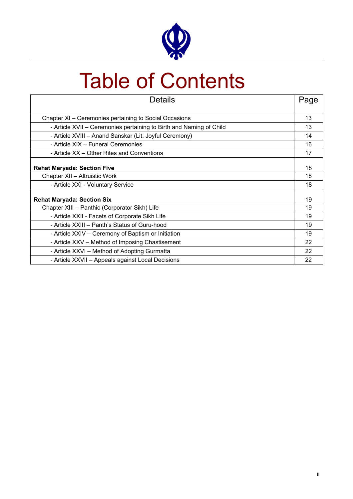

# Table of Contents

| Details                                                             | Page |
|---------------------------------------------------------------------|------|
|                                                                     |      |
| Chapter XI - Ceremonies pertaining to Social Occasions              | 13   |
| - Article XVII – Ceremonies pertaining to Birth and Naming of Child | 13   |
| - Article XVIII - Anand Sanskar (Lit. Joyful Ceremony)              | 14   |
| - Article XIX - Funeral Ceremonies                                  | 16   |
| - Article XX – Other Rites and Conventions                          | 17   |
|                                                                     |      |
| <b>Rehat Maryada: Section Five</b>                                  | 18   |
| Chapter XII - Altruistic Work                                       | 18   |
| - Article XXI - Voluntary Service                                   | 18   |
| <b>Rehat Maryada: Section Six</b>                                   | 19   |
|                                                                     |      |
| Chapter XIII - Panthic (Corporator Sikh) Life                       | 19   |
| - Article XXII - Facets of Corporate Sikh Life                      | 19   |
| - Article XXIII – Panth's Status of Guru-hood                       | 19   |
| - Article XXIV – Ceremony of Baptism or Initiation                  | 19   |
| - Article XXV – Method of Imposing Chastisement                     | 22   |
| - Article XXVI – Method of Adopting Gurmatta                        | 22   |
| - Article XXVII - Appeals against Local Decisions                   | 22   |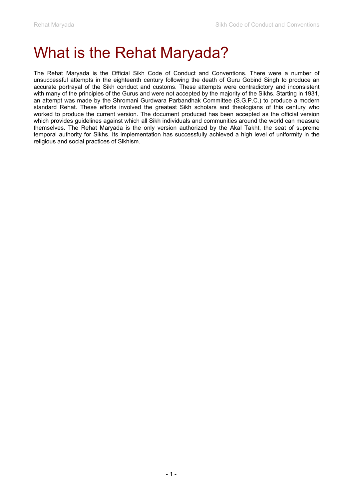# <span id="page-3-0"></span>What is the Rehat Maryada?

The Rehat Maryada is the Official Sikh Code of Conduct and Conventions. There were a number of unsuccessful attempts in the eighteenth century following the death of Guru Gobind Singh to produce an accurate portrayal of the Sikh conduct and customs. These attempts were contradictory and inconsistent with many of the principles of the Gurus and were not accepted by the majority of the Sikhs. Starting in 1931, an attempt was made by the Shromani Gurdwara Parbandhak Committee (S.G.P.C.) to produce a modern standard Rehat. These efforts involved the greatest Sikh scholars and theologians of this century who worked to produce the current version. The document produced has been accepted as the official version which provides guidelines against which all Sikh individuals and communities around the world can measure themselves. The Rehat Maryada is the only version authorized by the Akal Takht, the seat of supreme temporal authority for Sikhs. Its implementation has successfully achieved a high level of uniformity in the religious and social practices of Sikhism.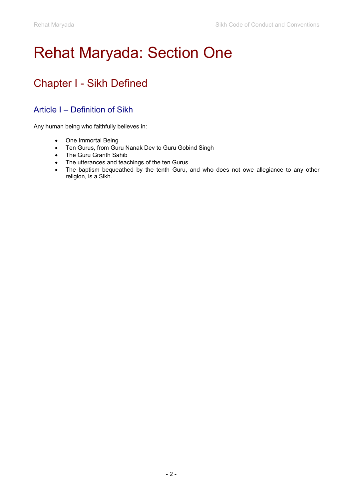# <span id="page-4-0"></span>Rehat Maryada: Section One

### Chapter I - Sikh Defined

#### Article I – Definition of Sikh

Any human being who faithfully believes in:

- One Immortal Being
- Ten Gurus, from Guru Nanak Dev to Guru Gobind Singh
- The Guru Granth Sahib
- The utterances and teachings of the ten Gurus
- The baptism bequeathed by the tenth Guru, and who does not owe allegiance to any other religion, is a Sikh.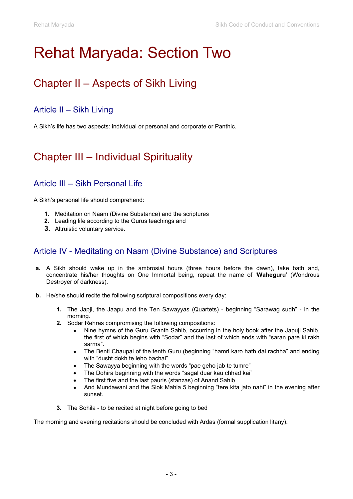# <span id="page-5-0"></span>Rehat Maryada: Section Two

# Chapter II – Aspects of Sikh Living

#### Article II – Sikh Living

A Sikh's life has two aspects: individual or personal and corporate or Panthic.

### Chapter III – Individual Spirituality

#### Article III – Sikh Personal Life

A Sikh's personal life should comprehend:

- **1.** Meditation on Naam (Divine Substance) and the scriptures
- **2.** Leading life according to the Gurus teachings and
- **3.** Altruistic voluntary service.

#### Article IV - Meditating on Naam (Divine Substance) and Scriptures

- **a.** A Sikh should wake up in the ambrosial hours (three hours before the dawn), take bath and, concentrate his/her thoughts on One Immortal being, repeat the name of '**Waheguru**' (Wondrous Destroyer of darkness).
- **b.** He/she should recite the following scriptural compositions every day:
	- **1.** The Japji, the Jaapu and the Ten Sawayyas (Quartets) beginning "Sarawag sudh" in the morning.
	- **2.** Sodar Rehras compromising the following compositions:
		- Nine hymns of the Guru Granth Sahib, occurring in the holy book after the Japuji Sahib, the first of which begins with "Sodar" and the last of which ends with "saran pare ki rakh sarma".
		- The Benti Chaupai of the tenth Guru (beginning "hamri karo hath dai rachha" and ending with "dusht dokh te leho bachai"
		- The Sawayya beginning with the words "pae geho jab te tumre"
		- The Dohira beginning with the words "sagal duar kau chhad kai"
		- The first five and the last pauris (stanzas) of Anand Sahib
		- And Mundawani and the Slok Mahla 5 beginning "tere kita jato nahi" in the evening after sunset.
	- **3.** The Sohila to be recited at night before going to bed

The morning and evening recitations should be concluded with Ardas (formal supplication litany).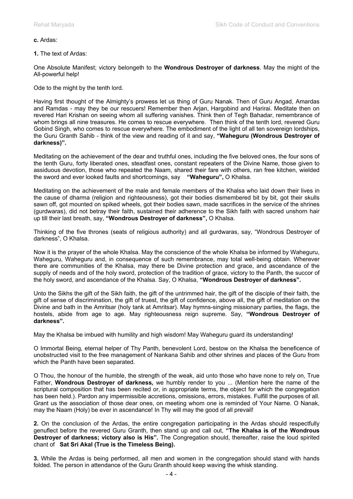#### **c.** Ardas:

**1.** The text of Ardas:

One Absolute Manifest; victory belongeth to the **Wondrous Destroyer of darkness**. May the might of the All-powerful help!

Ode to the might by the tenth lord.

Having first thought of the Almighty's prowess let us thing of Guru Nanak. Then of Guru Angad, Amardas and Ramdas - may they be our rescuers! Remember then Arian, Hargobind and Harirai. Meditate then on revered Hari Krishan on seeing whom all suffering vanishes. Think then of Tegh Bahadar, remembrance of whom brings all nine treasures. He comes to rescue everywhere. Then think of the tenth lord, revered Guru Gobind Singh, who comes to rescue everywhere. The embodiment of the light of all ten sovereign lordships, the Guru Granth Sahib - think of the view and reading of it and say, **"Waheguru (Wondrous Destroyer of darkness)".**

Meditating on the achievement of the dear and truthful ones, including the five beloved ones, the four sons of the tenth Guru, forty liberated ones, steadfast ones, constant repeaters of the Divine Name, those given to assiduous devotion, those who repeated the Naam, shared their fare with others, ran free kitchen, wielded the sword and ever looked faults and shortcomings, say **"Waheguru",** O Khalsa.

Meditating on the achievement of the male and female members of the Khalsa who laid down their lives in the cause of dharma (religion and righteousness), got their bodies dismembered bit by bit, got their skulls sawn off, got mounted on spiked wheels, got their bodies sawn, made sacrifices in the service of the shrines (gurdwaras), did not betray their faith, sustained their adherence to the Sikh faith with sacred unshorn hair up till their last breath, say, **"Wondrous Destroyer of darkness",** O Khalsa.

Thinking of the five thrones (seats of religious authority) and all gurdwaras, say, "Wondrous Destroyer of darkness", O Khalsa.

Now it is the prayer of the whole Khalsa. May the conscience of the whole Khalsa be informed by Waheguru, Waheguru, Waheguru and, in consequence of such remembrance, may total well-being obtain. Wherever there are communities of the Khalsa, may there be Divine protection and grace, and ascendance of the supply of needs and of the holy sword, protection of the tradition of grace, victory to the Panth, the succor of the holy sword, and ascendance of the Khalsa. Say, O Khalsa, **"Wondrous Destroyer of darkness".** 

Unto the Sikhs the gift of the Sikh faith, the gift of the untrimmed hair, the gift of the disciple of their faith, the gift of sense of discrimination, the gift of truest, the gift of confidence, above all, the gift of meditation on the Divine and bath in the Amritsar (holy tank at Amritsar). May hymns-singing missionary parties, the flags, the hostels, abide from age to age. May righteousness reign supreme. Say, **"Wondrous Destroyer of darkness".**

May the Khalsa be imbued with humility and high wisdom! May Waheguru guard its understanding!

O Immortal Being, eternal helper of Thy Panth, benevolent Lord, bestow on the Khalsa the beneficence of unobstructed visit to the free management of Nankana Sahib and other shrines and places of the Guru from which the Panth have been separated.

O Thou, the honour of the humble, the strength of the weak, aid unto those who have none to rely on, True Father, **Wondrous Destroyer of darkness***,* we humbly render to you ... (Mention here the name of the scriptural composition that has been recited or, in appropriate terms, the object for which the congregation has been held.). Pardon any impermissible accretions, omissions, errors, mistakes. Fulfill the purposes of all. Grant us the association of those dear ones, on meeting whom one is reminded of Your Name. O Nanak, may the Naam (Holy) be ever in ascendance! In Thy will may the good of all prevail!

**2.** On the conclusion of the Ardas, the entire congregation participating in the Ardas should respectfully genuflect before the revered Guru Granth, then stand up and call out, **"The Khalsa is of the Wondrous Destroyer of darkness; victory also is His".** The Congregation should, thereafter, raise the loud spirited chant of **Sat Sri Akal (True is the Timeless Being).**

**3.** While the Ardas is being performed, all men and women in the congregation should stand with hands folded. The person in attendance of the Guru Granth should keep waving the whisk standing.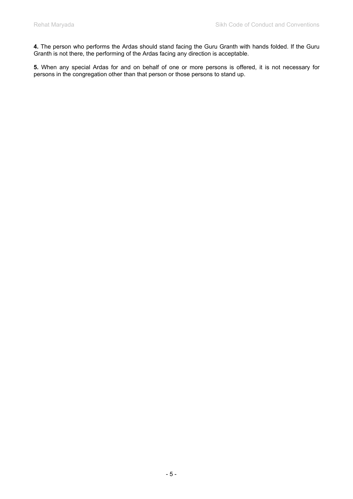**4.** The person who performs the Ardas should stand facing the Guru Granth with hands folded. If the Guru Granth is not there, the performing of the Ardas facing any direction is acceptable.

**5.** When any special Ardas for and on behalf of one or more persons is offered, it is not necessary for persons in the congregation other than that person or those persons to stand up.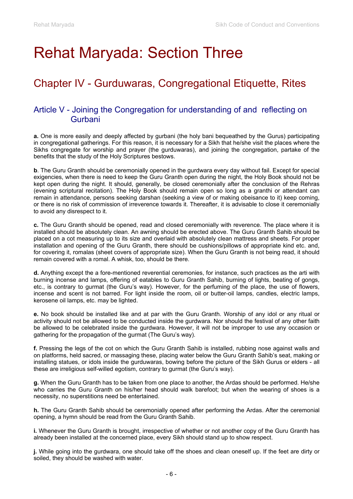# <span id="page-8-0"></span>Rehat Maryada: Section Three

### Chapter IV - Gurduwaras, Congregational Etiquette, Rites

#### Article V - Joining the Congregation for understanding of and reflecting on **Gurbani**

**a.** One is more easily and deeply affected by gurbani (the holy bani bequeathed by the Gurus) participating in congregational gatherings. For this reason, it is necessary for a Sikh that he/she visit the places where the Sikhs congregate for worship and prayer (the gurduwaras), and joining the congregation, partake of the benefits that the study of the Holy Scriptures bestows.

**b**. The Guru Granth should be ceremonially opened in the gurdwara every day without fail. Except for special exigencies, when there is need to keep the Guru Granth open during the night, the Holy Book should not be kept open during the night. It should, generally, be closed ceremonially after the conclusion of the Rehras (evening scriptural recitation). The Holy Book should remain open so long as a granthi or attendant can remain in attendance, persons seeking darshan (seeking a view of or making obeisance to it) keep coming, or there is no risk of commission of irreverence towards it. Thereafter, it is advisable to close it ceremonially to avoid any disrespect to it.

**c.** The Guru Granth should be opened, read and closed ceremonially with reverence. The place where it is installed should be absolutely clean. An awning should be erected above. The Guru Granth Sahib should be placed on a cot measuring up to its size and overlaid with absolutely clean mattress and sheets. For proper installation and opening of the Guru Granth, there should be cushions/pillows of appropriate kind etc. and, for covering it, romalas (sheet covers of appropriate size). When the Guru Granth is not being read, it should remain covered with a romal. A whisk, too, should be there.

**d.** Anything except the a fore-mentioned reverential ceremonies, for instance, such practices as the arti with burning incense and lamps, offering of eatables to Guru Granth Sahib, burning of lights, beating of gongs, etc., is contrary to gurmat (the Guru's way). However, for the perfuming of the place, the use of flowers, incense and scent is not barred. For light inside the room, oil or butter-oil lamps, candles, electric lamps, kerosene oil lamps, etc. may be lighted.

**e.** No book should be installed like and at par with the Guru Granth. Worship of any idol or any ritual or activity should not be allowed to be conducted inside the gurdwara. Nor should the festival of any other faith be allowed to be celebrated inside the gurdwara. However, it will not be improper to use any occasion or gathering for the propagation of the gurmat (The Guru's way).

**f.** Pressing the legs of the cot on which the Guru Granth Sahib is installed, rubbing nose against walls and on platforms, held sacred, or massaging these, placing water below the Guru Granth Sahib's seat, making or installing statues, or idols inside the gurduwaras, bowing before the picture of the Sikh Gurus or elders - all these are irreligious self-willed egotism, contrary to gurmat (the Guru's way).

**g.** When the Guru Granth has to be taken from one place to another, the Ardas should be performed. He/she who carries the Guru Granth on his/her head should walk barefoot; but when the wearing of shoes is a necessity, no superstitions need be entertained.

**h.** The Guru Granth Sahib should be ceremonially opened after performing the Ardas. After the ceremonial opening, a hymn should be read from the Guru Granth Sahib.

**i.** Whenever the Guru Granth is brought, irrespective of whether or not another copy of the Guru Granth has already been installed at the concerned place, every Sikh should stand up to show respect.

**j.** While going into the gurdwara, one should take off the shoes and clean oneself up. If the feet are dirty or soiled, they should be washed with water.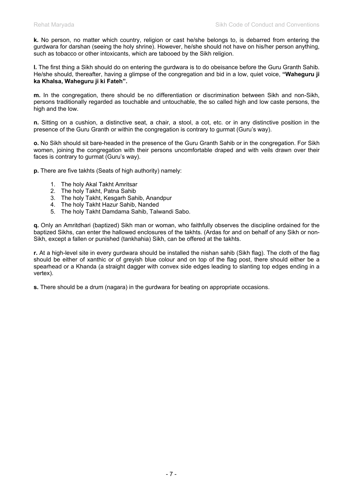**k.** No person, no matter which country, religion or cast he/she belongs to, is debarred from entering the gurdwara for darshan (seeing the holy shrine). However, he/she should not have on his/her person anything, such as tobacco or other intoxicants, which are tabooed by the Sikh religion.

**l.** The first thing a Sikh should do on entering the gurdwara is to do obeisance before the Guru Granth Sahib. He/she should, thereafter, having a glimpse of the congregation and bid in a low, quiet voice, **"Waheguru ji ka Khalsa, Waheguru ji ki Fateh".**

**m.** In the congregation, there should be no differentiation or discrimination between Sikh and non-Sikh, persons traditionally regarded as touchable and untouchable, the so called high and low caste persons, the high and the low.

**n.** Sitting on a cushion, a distinctive seat, a chair, a stool, a cot, etc. or in any distinctive position in the presence of the Guru Granth or within the congregation is contrary to gurmat (Guru's way).

**o.** No Sikh should sit bare-headed in the presence of the Guru Granth Sahib or in the congregation. For Sikh women, joining the congregation with their persons uncomfortable draped and with veils drawn over their faces is contrary to gurmat (Guru's way).

**p.** There are five takhts (Seats of high authority) namely:

- 1. The holy Akal Takht Amritsar
- 2. The holy Takht, Patna Sahib
- 3. The holy Takht, Kesgarh Sahib, Anandpur
- 4. The holy Takht Hazur Sahib, Nanded
- 5. The holy Takht Damdama Sahib, Talwandi Sabo.

**q.** Only an Amritdhari (baptized) Sikh man or woman, who faithfully observes the discipline ordained for the baptized Sikhs, can enter the hallowed enclosures of the takhts. (Ardas for and on behalf of any Sikh or non-Sikh, except a fallen or punished (tankhahia) Sikh, can be offered at the takhts.

**r.** At a high-level site in every gurdwara should be installed the nishan sahib (Sikh flag). The cloth of the flag should be either of xanthic or of greyish blue colour and on top of the flag post, there should either be a spearhead or a Khanda (a straight dagger with convex side edges leading to slanting top edges ending in a vertex).

**s.** There should be a drum (nagara) in the gurdwara for beating on appropriate occasions.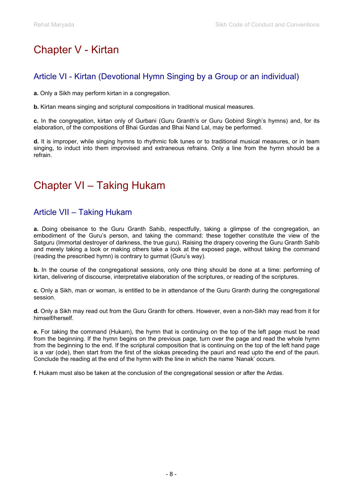# <span id="page-10-0"></span>Chapter V - Kirtan

#### Article VI - Kirtan (Devotional Hymn Singing by a Group or an individual)

**a.** Only a Sikh may perform kirtan in a congregation.

**b.** Kirtan means singing and scriptural compositions in traditional musical measures.

**c.** In the congregation, kirtan only of Gurbani (Guru Granth's or Guru Gobind Singh's hymns) and, for its elaboration, of the compositions of Bhai Gurdas and Bhai Nand Lal, may be performed.

**d.** It is improper, while singing hymns to rhythmic folk tunes or to traditional musical measures, or in team singing, to induct into them improvised and extraneous refrains. Only a line from the hymn should be a refrain.

### Chapter VI – Taking Hukam

#### Article VII – Taking Hukam

**a.** Doing obeisance to the Guru Granth Sahib, respectfully, taking a glimpse of the congregation, an embodiment of the Guru's person, and taking the command: these together constitute the view of the Satguru (Immortal destroyer of darkness, the true guru). Raising the drapery covering the Guru Granth Sahib and merely taking a look or making others take a look at the exposed page, without taking the command (reading the prescribed hymn) is contrary to gurmat (Guru's way).

**b.** In the course of the congregational sessions, only one thing should be done at a time: performing of kirtan, delivering of discourse, interpretative elaboration of the scriptures, or reading of the scriptures.

**c.** Only a Sikh, man or woman, is entitled to be in attendance of the Guru Granth during the congregational session.

**d.** Only a Sikh may read out from the Guru Granth for others. However, even a non-Sikh may read from it for himself/herself.

**e.** For taking the command (Hukam), the hymn that is continuing on the top of the left page must be read from the beginning. If the hymn begins on the previous page, turn over the page and read the whole hymn from the beginning to the end. If the scriptural composition that is continuing on the top of the left hand page is a var (ode), then start from the first of the slokas preceding the pauri and read upto the end of the pauri. Conclude the reading at the end of the hymn with the line in which the name 'Nanak' occurs.

**f.** Hukam must also be taken at the conclusion of the congregational session or after the Ardas.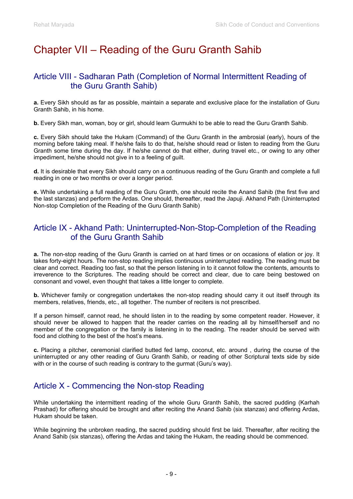### <span id="page-11-0"></span>Chapter VII – Reading of the Guru Granth Sahib

#### Article VIII - Sadharan Path (Completion of Normal Intermittent Reading of the Guru Granth Sahib)

**a.** Every Sikh should as far as possible, maintain a separate and exclusive place for the installation of Guru Granth Sahib, in his home.

**b.** Every Sikh man, woman, boy or girl, should learn Gurmukhi to be able to read the Guru Granth Sahib.

**c.** Every Sikh should take the Hukam (Command) of the Guru Granth in the ambrosial (early), hours of the morning before taking meal. If he/she fails to do that, he/she should read or listen to reading from the Guru Granth some time during the day. If he/she cannot do that either, during travel etc., or owing to any other impediment, he/she should not give in to a feeling of guilt.

**d.** It is desirable that every Sikh should carry on a continuous reading of the Guru Granth and complete a full reading in one or two months or over a longer period.

**e.** While undertaking a full reading of the Guru Granth, one should recite the Anand Sahib (the first five and the last stanzas) and perform the Ardas. One should, thereafter, read the Japuji. Akhand Path (Uninterrupted Non-stop Completion of the Reading of the Guru Granth Sahib)

#### Article IX - Akhand Path: Uninterrupted-Non-Stop-Completion of the Reading of the Guru Granth Sahib

**a.** The non-stop reading of the Guru Granth is carried on at hard times or on occasions of elation or joy. It takes forty-eight hours. The non-stop reading implies continuous uninterrupted reading. The reading must be clear and correct. Reading too fast, so that the person listening in to it cannot follow the contents, amounts to irreverence to the Scriptures. The reading should be correct and clear, due to care being bestowed on consonant and vowel, even thought that takes a little longer to complete.

**b.** Whichever family or congregation undertakes the non-stop reading should carry it out itself through its members, relatives, friends, etc., all together. The number of reciters is not prescribed.

If a person himself, cannot read, he should listen in to the reading by some competent reader. However, it should never be allowed to happen that the reader carries on the reading all by himself/herself and no member of the congregation or the family is listening in to the reading. The reader should be served with food and clothing to the best of the host's means.

**c.** Placing a pitcher, ceremonial clarified butted fed lamp, coconut, etc. around , during the course of the uninterrupted or any other reading of Guru Granth Sahib, or reading of other Scriptural texts side by side with or in the course of such reading is contrary to the gurmat (Guru's way).

#### Article X - Commencing the Non-stop Reading

While undertaking the intermittent reading of the whole Guru Granth Sahib, the sacred pudding (Karhah Prashad) for offering should be brought and after reciting the Anand Sahib (six stanzas) and offering Ardas, Hukam should be taken.

While beginning the unbroken reading, the sacred pudding should first be laid. Thereafter, after reciting the Anand Sahib (six stanzas), offering the Ardas and taking the Hukam, the reading should be commenced.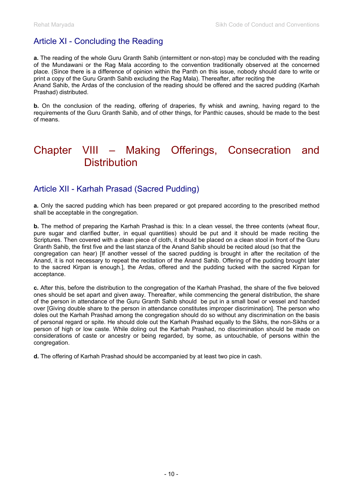#### <span id="page-12-0"></span>Article XI - Concluding the Reading

**a.** The reading of the whole Guru Granth Sahib (intermittent or non-stop) may be concluded with the reading of the Mundawani or the Rag Mala according to the convention traditionally observed at the concerned place. (Since there is a difference of opinion within the Panth on this issue, nobody should dare to write or print a copy of the Guru Granth Sahib excluding the Rag Mala). Thereafter, after reciting the Anand Sahib, the Ardas of the conclusion of the reading should be offered and the sacred pudding (Karhah Prashad) distributed.

**b.** On the conclusion of the reading, offering of draperies, fly whisk and awning, having regard to the requirements of the Guru Granth Sahib, and of other things, for Panthic causes, should be made to the best of means.

### Chapter VIII – Making Offerings, Consecration and **Distribution**

#### Article XII - Karhah Prasad (Sacred Pudding)

**a.** Only the sacred pudding which has been prepared or got prepared according to the prescribed method shall be acceptable in the congregation.

**b.** The method of preparing the Karhah Prashad is this: In a clean vessel, the three contents (wheat flour, pure sugar and clarified butter, in equal quantities) should be put and it should be made reciting the Scriptures. Then covered with a clean piece of cloth, it should be placed on a clean stool in front of the Guru Granth Sahib, the first five and the last stanza of the Anand Sahib should be recited aloud (so that the congregation can hear) [If another vessel of the sacred pudding is brought in after the recitation of the Anand, it is not necessary to repeat the recitation of the Anand Sahib. Offering of the pudding brought later to the sacred Kirpan is enough.], the Ardas, offered and the pudding tucked with the sacred Kirpan for acceptance.

**c.** After this, before the distribution to the congregation of the Karhah Prashad, the share of the five beloved ones should be set apart and given away. Thereafter, while commencing the general distribution, the share of the person in attendance of the Guru Granth Sahib should be put in a small bowl or vessel and handed over [Giving double share to the person in attendance constitutes improper discrimination]. The person who doles out the Karhah Prashad among the congregation should do so without any discrimination on the basis of personal regard or spite. He should dole out the Karhah Prashad equally to the Sikhs, the non-Sikhs or a person of high or low caste. While doling out the Karhah Prashad, no discrimination should be made on considerations of caste or ancestry or being regarded, by some, as untouchable, of persons within the congregation.

**d.** The offering of Karhah Prashad should be accompanied by at least two pice in cash.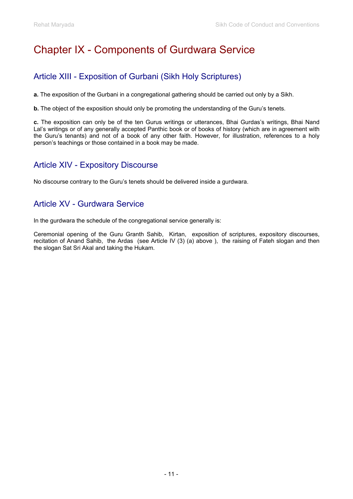# <span id="page-13-0"></span>Chapter IX - Components of Gurdwara Service

#### Article XIII - Exposition of Gurbani (Sikh Holy Scriptures)

**a.** The exposition of the Gurbani in a congregational gathering should be carried out only by a Sikh.

**b.** The object of the exposition should only be promoting the understanding of the Guru's tenets.

**c.** The exposition can only be of the ten Gurus writings or utterances, Bhai Gurdas's writings, Bhai Nand Lal's writings or of any generally accepted Panthic book or of books of history (which are in agreement with the Guru's tenants) and not of a book of any other faith. However, for illustration, references to a holy person's teachings or those contained in a book may be made.

#### Article XIV - Expository Discourse

No discourse contrary to the Guru's tenets should be delivered inside a gurdwara.

#### Article XV - Gurdwara Service

In the gurdwara the schedule of the congregational service generally is:

Ceremonial opening of the Guru Granth Sahib, Kirtan, exposition of scriptures, expository discourses, recitation of Anand Sahib, the Ardas (see Article IV (3) (a) above ), the raising of Fateh slogan and then the slogan Sat Sri Akal and taking the Hukam.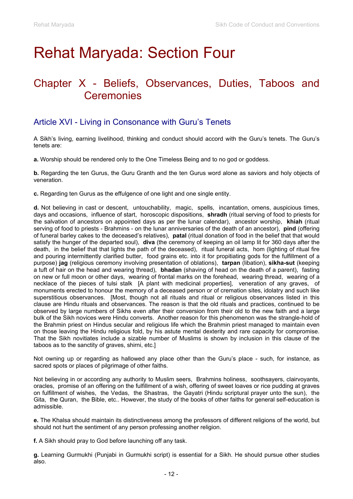# <span id="page-14-0"></span>Rehat Maryada: Section Four

### Chapter X - Beliefs, Observances, Duties, Taboos and **Ceremonies**

#### Article XVI - Living in Consonance with Guru's Tenets

A Sikh's living, earning livelihood, thinking and conduct should accord with the Guru's tenets. The Guru's tenets are:

**a.** Worship should be rendered only to the One Timeless Being and to no god or goddess.

**b.** Regarding the ten Gurus, the Guru Granth and the ten Gurus word alone as saviors and holy objects of veneration.

**c.** Regarding ten Gurus as the effulgence of one light and one single entity.

**d.** Not believing in cast or descent, untouchability, magic, spells, incantation, omens, auspicious times, days and occasions, influence of start, horoscopic dispositions, **shradh** (ritual serving of food to priests for the salvation of ancestors on appointed days as per the lunar calendar), ancestor worship, **khiah** (ritual serving of food to priests - Brahmins - on the lunar anniversaries of the death of an ancestor), **pind** (offering of funeral barley cakes to the deceased's relatives), **patal** (ritual donation of food in the belief that that would satisfy the hunger of the departed soul), **diva** (the ceremony of keeping an oil lamp lit for 360 days after the death, in the belief that that lights the path of the deceased), ritual funeral acts, hom (lighting of ritual fire and pouring intermittently clarified butter, food grains etc. into it for propitiating gods for the fulfillment of a purpose) **jag** (religious ceremony involving presentation of oblations), **tarpan** (libation), **sikha-sut** (keeping a tuft of hair on the head and wearing thread), **bhadan** (shaving of head on the death of a parent), fasting on new or full moon or other days, wearing of frontal marks on the forehead, wearing thread, wearing of a necklace of the pieces of tulsi stalk [A plant with medicinal properties], veneration of any graves, of monuments erected to honour the memory of a deceased person or of cremation sites, idolatry and such like superstitious observances. [Most, though not all rituals and ritual or religious observances listed in this clause are Hindu rituals and observances. The reason is that the old rituals and practices, continued to be observed by large numbers of Sikhs even after their conversion from their old to the new faith and a large bulk of the Sikh novices were Hindu converts. Another reason for this phenomenon was the strangle-hold of the Brahmin priest on Hindus secular and religious life which the Brahmin priest managed to maintain even on those leaving the Hindu religious fold, by his astute mental dexterity and rare capacity for compromise. That the Sikh novitiates include a sizable number of Muslims is shown by inclusion in this clause of the taboos as to the sanctity of graves, shirni, etc.]

Not owning up or regarding as hallowed any place other than the Guru's place - such, for instance, as sacred spots or places of pilgrimage of other faiths.

Not believing in or according any authority to Muslim seers, Brahmins holiness, soothsayers, clairvoyants, oracles, promise of an offering on the fulfillment of a wish, offering of sweet loaves or rice pudding at graves on fulfillment of wishes, the Vedas, the Shastras, the Gayatri (Hindu scriptural prayer unto the sun), the Gita, the Quran, the Bible, etc.. However, the study of the books of other faiths for general self-education is admissible.

**e.** The Khalsa should maintain its distinctiveness among the professors of different religions of the world, but should not hurt the sentiment of any person professing another religion.

**f.** A Sikh should pray to God before launching off any task.

**g.** Learning Gurmukhi (Punjabi in Gurmukhi script) is essential for a Sikh. He should pursue other studies also.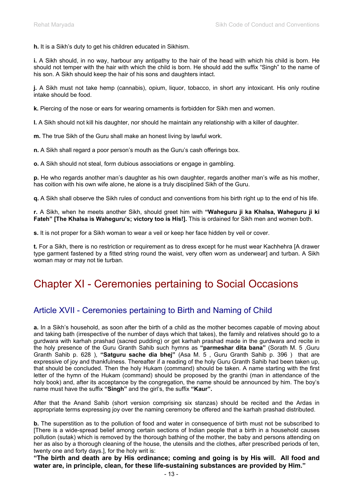<span id="page-15-0"></span>**h.** It is a Sikh's duty to get his children educated in Sikhism.

**i.** A Sikh should, in no way, harbour any antipathy to the hair of the head with which his child is born. He should not temper with the hair with which the child is born. He should add the suffix "Singh" to the name of his son. A Sikh should keep the hair of his sons and daughters intact.

**j.** A Sikh must not take hemp (cannabis), opium, liquor, tobacco, in short any intoxicant. His only routine intake should be food.

**k.** Piercing of the nose or ears for wearing ornaments is forbidden for Sikh men and women.

**l.** A Sikh should not kill his daughter, nor should he maintain any relationship with a killer of daughter.

**m.** The true Sikh of the Guru shall make an honest living by lawful work.

**n.** A Sikh shall regard a poor person's mouth as the Guru's cash offerings box.

**o.** A Sikh should not steal, form dubious associations or engage in gambling.

**p.** He who regards another man's daughter as his own daughter, regards another man's wife as his mother, has coition with his own wife alone, he alone is a truly disciplined Sikh of the Guru.

**q.** A Sikh shall observe the Sikh rules of conduct and conventions from his birth right up to the end of his life.

**r.** A Sikh, when he meets another Sikh, should greet him with **"Waheguru ji ka Khalsa, Waheguru ji ki Fateh" [The Khalsa is Waheguru's; victory too is His!].** This is ordained for Sikh men and women both.

**s.** It is not proper for a Sikh woman to wear a veil or keep her face hidden by veil or cover.

**t.** For a Sikh, there is no restriction or requirement as to dress except for he must wear Kachhehra [A drawer type garment fastened by a fitted string round the waist, very often worn as underwear] and turban. A Sikh woman may or may not tie turban.

### Chapter XI - Ceremonies pertaining to Social Occasions

#### Article XVII - Ceremonies pertaining to Birth and Naming of Child

**a.** In a Sikh's household, as soon after the birth of a child as the mother becomes capable of moving about and taking bath (irrespective of the number of days which that takes), the family and relatives should go to a gurdwara with karhah prashad (sacred pudding) or get karhah prashad made in the gurdwara and recite in the holy presence of the Guru Granth Sahib such hymns as **"parmeshar dita bana"** (Sorath M. 5 ,Guru Granth Sahib p. 628 ), **"Satguru sache dia bhej"** (Asa M. 5 , Guru Granth Sahib p. 396 ) that are expressive of joy and thankfulness. Thereafter if a reading of the holy Guru Granth Sahib had been taken up, that should be concluded. Then the holy Hukam (command) should be taken. A name starting with the first letter of the hymn of the Hukam (command) should be proposed by the granthi (man in attendance of the holy book) and, after its acceptance by the congregation, the name should be announced by him. The boy's name must have the suffix **"Singh"** and the girl's, the suffix **"Kaur".**

After that the Anand Sahib (short version comprising six stanzas) should be recited and the Ardas in appropriate terms expressing joy over the naming ceremony be offered and the karhah prashad distributed.

**b.** The superstition as to the pollution of food and water in consequence of birth must not be subscribed to [There is a wide-spread belief among certain sections of Indian people that a birth in a household causes pollution (sutak) which is removed by the thorough bathing of the mother, the baby and persons attending on her as also by a thorough cleaning of the house, the utensils and the clothes, after prescribed periods of ten, twenty one and forty days.], for the holy writ is:

**"The birth and death are by His ordinance; coming and going is by His will. All food and water are, in principle, clean, for these life-sustaining substances are provided by Him."**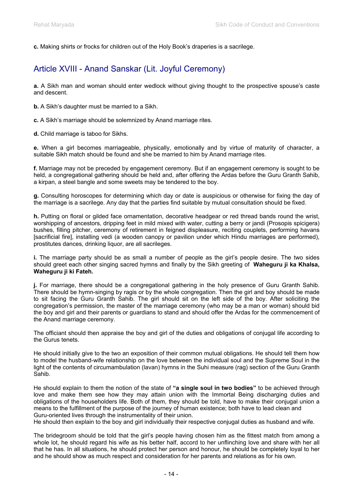<span id="page-16-0"></span>**c.** Making shirts or frocks for children out of the Holy Book's draperies is a sacrilege.

#### Article XVIII - Anand Sanskar (Lit. Joyful Ceremony)

**a.** A Sikh man and woman should enter wedlock without giving thought to the prospective spouse's caste and descent.

**b.** A Sikh's daughter must be married to a Sikh.

**c.** A Sikh's marriage should be solemnized by Anand marriage rites.

**d.** Child marriage is taboo for Sikhs.

**e.** When a girl becomes marriageable, physically, emotionally and by virtue of maturity of character, a suitable Sikh match should be found and she be married to him by Anand marriage rites.

**f.** Marriage may not be preceded by engagement ceremony. But if an engagement ceremony is sought to be held, a congregational gathering should be held and, after offering the Ardas before the Guru Granth Sahib, a kirpan, a steel bangle and some sweets may be tendered to the boy.

**g.** Consulting horoscopes for determining which day or date is auspicious or otherwise for fixing the day of the marriage is a sacrilege. Any day that the parties find suitable by mutual consultation should be fixed.

**h.** Putting on floral or gilded face ornamentation, decorative headgear or red thread bands round the wrist, worshipping of ancestors, dripping feet in mild mixed with water, cutting a berry or jandi (Prosopis spicigera) bushes, filling pitcher, ceremony of retirement in feigned displeasure, reciting couplets, performing havans [sacrificial fire], installing vedi (a wooden canopy or pavilion under which Hindu marriages are performed), prostitutes dances, drinking liquor, are all sacrileges.

**i.** The marriage party should be as small a number of people as the girl's people desire. The two sides should greet each other singing sacred hymns and finally by the Sikh greeting of **Waheguru ji ka Khalsa, Waheguru ji ki Fateh.**

**j.** For marriage, there should be a congregational gathering in the holy presence of Guru Granth Sahib. There should be hymn-singing by ragis or by the whole congregation. Then the girl and boy should be made to sit facing the Guru Granth Sahib. The girl should sit on the left side of the boy. After soliciting the congregation's permission, the master of the marriage ceremony (who may be a man or woman) should bid the boy and girl and their parents or guardians to stand and should offer the Ardas for the commencement of the Anand marriage ceremony.

The officiant should then appraise the boy and girl of the duties and obligations of conjugal life according to the Gurus tenets.

He should initially give to the two an exposition of their common mutual obligations. He should tell them how to model the husband-wife relationship on the love between the individual soul and the Supreme Soul in the light of the contents of circumambulation (lavan) hymns in the Suhi measure (rag) section of the Guru Granth Sahib.

He should explain to them the notion of the state of **"a single soul in two bodies"** to be achieved through love and make them see how they may attain union with the Immortal Being discharging duties and obligations of the householders life. Both of them, they should be told, have to make their conjugal union a means to the fulfillment of the purpose of the journey of human existence; both have to lead clean and Guru-oriented lives through the instrumentality of their union.

He should then explain to the boy and girl individually their respective conjugal duties as husband and wife.

The bridegroom should be told that the girl's people having chosen him as the fittest match from among a whole lot, he should regard his wife as his better half, accord to her unflinching love and share with her all that he has. In all situations, he should protect her person and honour, he should be completely loyal to her and he should show as much respect and consideration for her parents and relations as for his own.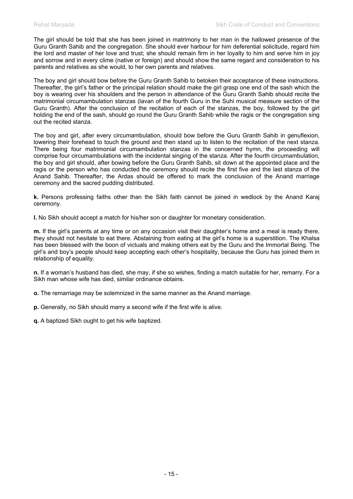The girl should be told that she has been joined in matrimony to her man in the hallowed presence of the Guru Granth Sahib and the congregation. She should ever harbour for him deferential solicitude, regard him the lord and master of her love and trust; she should remain firm in her loyalty to him and serve him in joy and sorrow and in every clime (native or foreign) and should show the same regard and consideration to his parents and relatives as she would, to her own parents and relatives.

The boy and girl should bow before the Guru Granth Sahib to betoken their acceptance of these instructions. Thereafter, the girl's father or the principal relation should make the girl grasp one end of the sash which the boy is wearing over his shoulders and the person in attendance of the Guru Granth Sahib should recite the matrimonial circumambulation stanzas (lavan of the fourth Guru in the Suhi musical measure section of the Guru Granth). After the conclusion of the recitation of each of the stanzas, the boy, followed by the girl holding the end of the sash, should go round the Guru Granth Sahib while the ragis or the congregation sing out the recited stanza.

The boy and girl, after every circumambulation, should bow before the Guru Granth Sahib in genuflexion, lowering their forehead to touch the ground and then stand up to listen to the recitation of the next stanza. There being four matrimonial circumambulation stanzas in the concerned hymn, the proceeding will comprise four circumambulations with the incidental singing of the stanza. After the fourth circumambulation, the boy and girl should, after bowing before the Guru Granth Sahib, sit down at the appointed place and the ragis or the person who has conducted the ceremony should recite the first five and the last stanza of the Anand Sahib. Thereafter, the Ardas should be offered to mark the conclusion of the Anand marriage ceremony and the sacred pudding distributed.

**k.** Persons professing faiths other than the Sikh faith cannot be joined in wedlock by the Anand Karaj ceremony.

**l.** No Sikh should accept a match for his/her son or daughter for monetary consideration.

**m.** If the girl's parents at any time or on any occasion visit their daughter's home and a meal is ready there, they should not hesitate to eat there. Abstaining from eating at the girl's home is a superstition. The Khalsa has been blessed with the boon of victuals and making others eat by the Guru and the Immortal Being. The girl's and boy's people should keep accepting each other's hospitality, because the Guru has joined them in relationship of equality.

**n.** If a woman's husband has died, she may, if she so wishes, finding a match suitable for her, remarry. For a Sikh man whose wife has died, similar ordinance obtains.

**o.** The remarriage may be solemnized in the same manner as the Anand marriage.

**p.** Generally, no Sikh should marry a second wife if the first wife is alive.

**q.** A baptized Sikh ought to get his wife baptized.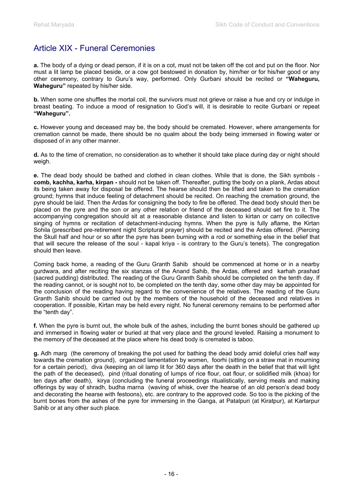#### <span id="page-18-0"></span>Article XIX - Funeral Ceremonies

**a.** The body of a dying or dead person, if it is on a cot, must not be taken off the cot and put on the floor. Nor must a lit lamp be placed beside, or a cow got bestowed in donation by, him/her or for his/her good or any other ceremony, contrary to Guru's way, performed. Only Gurbani should be recited or **"Waheguru, Waheguru"** repeated by his/her side.

**b.** When some one shuffles the mortal coil, the survivors must not grieve or raise a hue and cry or indulge in breast beating. To induce a mood of resignation to God's will, it is desirable to recite Gurbani or repeat **"Waheguru".**

**c.** However young and deceased may be, the body should be cremated. However, where arrangements for cremation cannot be made, there should be no qualm about the body being immersed in flowing water or disposed of in any other manner.

**d.** As to the time of cremation, no consideration as to whether it should take place during day or night should weigh.

**e.** The dead body should be bathed and clothed in clean clothes. While that is done, the Sikh symbols **comb, kachha, karha, kirpan -** should not be taken off. Thereafter, putting the body on a plank, Ardas about its being taken away for disposal be offered. The hearse should then be lifted and taken to the cremation ground; hymns that induce feeling of detachment should be recited. On reaching the cremation ground, the pyre should be laid. Then the Ardas for consigning the body to fire be offered. The dead body should then be placed on the pyre and the son or any other relation or friend of the deceased should set fire to it. The accompanying congregation should sit at a reasonable distance and listen to kirtan or carry on collective singing of hymns or recitation of detachment-inducing hymns. When the pyre is fully aflame, the Kirtan Sohila (prescribed pre-retirement night Scriptural prayer) should be recited and the Ardas offered. (Piercing the Skull half and hour or so after the pyre has been burning with a rod or something else in the belief that that will secure the release of the soul - kapal kriya - is contrary to the Guru's tenets). The congregation should then leave.

Coming back home, a reading of the Guru Granth Sahib should be commenced at home or in a nearby gurdwara, and after reciting the six stanzas of the Anand Sahib, the Ardas, offered and karhah prashad (sacred pudding) distributed. The reading of the Guru Granth Sahib should be completed on the tenth day. If the reading cannot, or is sought not to, be completed on the tenth day, some other day may be appointed for the conclusion of the reading having regard to the convenience of the relatives. The reading of the Guru Granth Sahib should be carried out by the members of the household of the deceased and relatives in cooperation. If possible, Kirtan may be held every night. No funeral ceremony remains to be performed after the "tenth day".

**f.** When the pyre is burnt out, the whole bulk of the ashes, including the burnt bones should be gathered up and immersed in flowing water or buried at that very place and the ground leveled. Raising a monument to the memory of the deceased at the place where his dead body is cremated is taboo.

**g.** Adh marg (the ceremony of breaking the pot used for bathing the dead body amid doleful cries half way towards the cremation ground), organized lamentation by women, foorhi (sitting on a straw mat in mourning for a certain period), diva (keeping an oil lamp lit for 360 days after the death in the belief that that will light the path of the deceased), pind (ritual donating of lumps of rice flour, oat flour, or solidified milk (khoa) for ten days after death), kirya (concluding the funeral proceedings ritualistically, serving meals and making offerings by way of shradh, budha marna (waving of whisk, over the hearse of an old person's dead body and decorating the hearse with festoons), etc. are contrary to the approved code. So too is the picking of the burnt bones from the ashes of the pyre for immersing in the Ganga, at Patalpuri (at Kiratpur), at Kartarpur Sahib or at any other such place.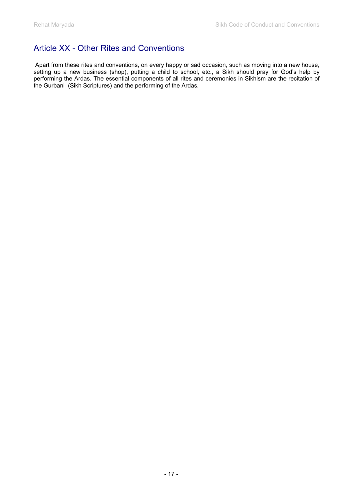#### <span id="page-19-0"></span>Article XX - Other Rites and Conventions

Apart from these rites and conventions, on every happy or sad occasion, such as moving into a new house, setting up a new business (shop), putting a child to school, etc., a Sikh should pray for God's help by performing the Ardas. The essential components of all rites and ceremonies in Sikhism are the recitation of the Gurbani (Sikh Scriptures) and the performing of the Ardas.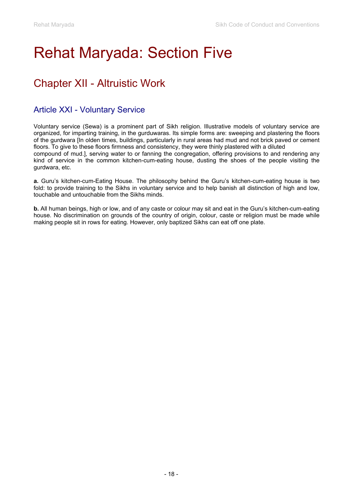# <span id="page-20-0"></span>Rehat Maryada: Section Five

### Chapter XII - Altruistic Work

#### Article XXI - Voluntary Service

Voluntary service (Sewa) is a prominent part of Sikh religion. Illustrative models of voluntary service are organized, for imparting training, in the gurduwaras. Its simple forms are: sweeping and plastering the floors of the gurdwara [In olden times, buildings, particularly in rural areas had mud and not brick paved or cement floors. To give to these floors firmness and consistency, they were thinly plastered with a diluted compound of mud.], serving water to or fanning the congregation, offering provisions to and rendering any kind of service in the common kitchen-cum-eating house, dusting the shoes of the people visiting the gurdwara, etc.

**a.** Guru's kitchen-cum-Eating House. The philosophy behind the Guru's kitchen-cum-eating house is two fold: to provide training to the Sikhs in voluntary service and to help banish all distinction of high and low, touchable and untouchable from the Sikhs minds.

**b.** All human beings, high or low, and of any caste or colour may sit and eat in the Guru's kitchen-cum-eating house. No discrimination on grounds of the country of origin, colour, caste or religion must be made while making people sit in rows for eating. However, only baptized Sikhs can eat off one plate.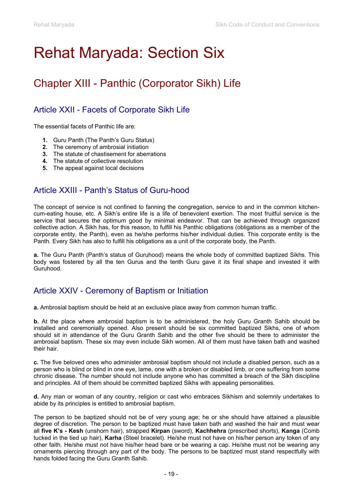# <span id="page-21-0"></span>Rehat Maryada: Section Six

# Chapter XIII - Panthic (Corporator Sikh) Life

#### Article XXII - Facets of Corporate Sikh Life

The essential facets of Panthic life are:

- **1.** Guru Panth (The Panth's Guru Status)
- **2.** The ceremony of ambrosial initiation
- **3.** The statute of chastisement for aberrations
- **4.** The statute of collective resolution
- **5.** The appeal against local decisions

#### Article XXIII - Panth's Status of Guru-hood

The concept of service is not confined to fanning the congregation, service to and in the common kitchencum-eating house, etc. A Sikh's entire life is a life of benevolent exertion. The most fruitful service is the service that secures the optimum good by minimal endeavor. That can be achieved through organized collective action. A Sikh has, for this reason, to fulfill his Panthic obligations (obligations as a member of the corporate entity, the Panth), even as he/she performs his/her individual duties. This corporate entity is the Panth. Every Sikh has also to fulfill his obligations as a unit of the corporate body, the Panth.

**a.** The Guru Panth (Panth's status of Guruhood) means the whole body of committed baptized Sikhs. This body was fostered by all the ten Gurus and the tenth Guru gave it its final shape and invested it with Guruhood.

#### Article XXIV - Ceremony of Baptism or Initiation

**a.** Ambrosial baptism should be held at an exclusive place away from common human traffic.

**b.** At the place where ambrosial baptism is to be administered, the holy Guru Granth Sahib should be installed and ceremonially opened. Also present should be six committed baptized Sikhs, one of whom should sit in attendance of the Guru Granth Sahib and the other five should be there to administer the ambrosial baptism. These six may even include Sikh women. All of them must have taken bath and washed their hair.

**c.** The five beloved ones who administer ambrosial baptism should not include a disabled person, such as a person who is blind or blind in one eye, lame, one with a broken or disabled limb, or one suffering from some chronic disease. The number should not include anyone who has committed a breach of the Sikh discipline and principles. All of them should be committed baptized Sikhs with appealing personalities.

**d.** Any man or woman of any country, religion or cast who embraces Sikhism and solemnly undertakes to abide by its principles is entitled to ambrosial baptism.

The person to be baptized should not be of very young age; he or she should have attained a plausible degree of discretion. The person to be baptized must have taken bath and washed the hair and must wear all **five K's - Kesh** (unshorn hair), strapped **Kirpan** (sword), **Kachhehra** (prescribed shorts), **Kanga** (Comb tucked in the tied up hair), **Karha** (Steel bracelet). He/she must not have on his/her person any token of any other faith. He/she must not have his/her head bare or be wearing a cap. He/she must not be wearing any ornaments piercing through any part of the body. The persons to be baptized must stand respectfully with hands folded facing the Guru Granth Sahib.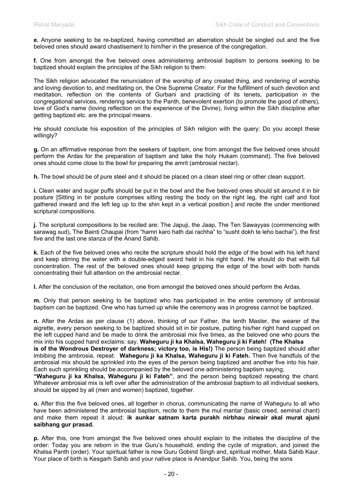**e.** Anyone seeking to be re-baptized, having committed an aberration should be singled out and the five beloved ones should award chastisement to him/her in the presence of the congregation.

**f.** One from amongst the five beloved ones administering ambrosial baptism to persons seeking to be baptized should explain the principles of the Sikh religion to them:

The Sikh religion advocated the renunciation of the worship of any created thing, and rendering of worship and loving devotion to, and meditating on, the One Supreme Creator. For the fulfillment of such devotion and meditation, reflection on the contents of Gurbani and practicing of its tenets, participation in the congregational services, rendering service to the Panth, benevolent exertion (to promote the good of others), love of God's name (loving reflection on the experience of the Divine), living within the Sikh discipline after getting baptized etc. are the principal means.

He should conclude his exposition of the principles of Sikh religion with the query: Do you accept these willingly?

**g.** On an affirmative response from the seekers of baptism, one from amongst the five beloved ones should perform the Ardas for the preparation of baptism and take the holy Hukam (command). The five beloved ones should come close to the bowl for preparing the amrit (ambrosial nectar).

**h.** The bowl should be of pure steel and it should be placed on a clean steel ring or other clean support.

**i.** Clean water and sugar puffs should be put in the bowl and the five beloved ones should sit around it in bir posture [Sitting in bir posture comprises sitting resting the body on the right leg, the right calf and foot gathered inward and the left leg up to the shin kept in a vertical position.] and recite the under mentioned scriptural compositions.

**j.** The scriptural compositions to be recited are: The Japuji, the Jaap, The Ten Sawayyas (commencing with sarawag sud), The Bainti Chaupai (from "hamri karo hath dai rachha" to "susht dokh te leho bachai"), the first five and the last one stanza of the Anand Sahib.

**k.** Each of the five beloved ones who recite the scripture should hold the edge of the bowl with his left hand and keep stirring the water with a double-edged sword held in his right hand. He should do that with full concentration. The rest of the beloved ones should keep gripping the edge of the bowl with both hands concentrating their full attention on the ambrosial nectar.

**l.** After the conclusion of the recitation, one from amongst the beloved ones should perform the Ardas.

**m.** Only that person seeking to be baptized who has participated in the entire ceremony of ambrosial baptism can be baptized. One who has turned up while the ceremony was in progress cannot be baptized.

**n.** After the Ardas as per clause (1) above, thinking of our Father, the tenth Master, the wearer of the aigrette, every person seeking to be baptized should sit in bir posture, putting his/her right hand cupped on the left cupped hand and be made to drink the ambrosial mix five times, as the beloved one who pours the mix into his cupped hand exclaims: say, **Waheguru ji ka Khalsa, Waheguru ji ki Fateh! (The Khalsa is of the Wondrous Destroyer of darkness; victory too, is His!)** The person being baptized should after imbibing the ambrosia, repeat: **Waheguru ji ka Khalsa, Waheguru ji ki Fateh.** Then five handfuls of the

ambrosial mix should be sprinkled into the eyes of the person being baptized and another five into his hair. Each such sprinkling should be accompanied by the beloved one administering baptism saying,

**"Waheguru ji ka Khalsa, Waheguru ji ki Fateh"**, and the person being baptized repeating the chant. Whatever ambrosial mix is left over after the administration of the ambrosial baptism to all individual seekers, should be sipped by all (men and women) baptized, together.

**o.** After this the five beloved ones, all together in chorus, communicating the name of Waheguru to all who have been administered the ambrosial baptism, recite to them the mul mantar (basic creed, seminal chant) and make them repeat it aloud: **ik aunkar satnam karta purakh nirbhau nirwair akal murat ajuni saibhang gur prasad.**

**p.** After this, one from amongst the five beloved ones should explain to the initiates the discipline of the order: Today you are reborn in the true Guru's household, ending the cycle of migration, and joined the Khalsa Panth (order). Your spiritual father is now Guru Gobind Singh and, spiritual mother, Mata Sahib Kaur. Your place of birth is Kesgarh Sahib and your native place is Anandpur Sahib. You, being the sons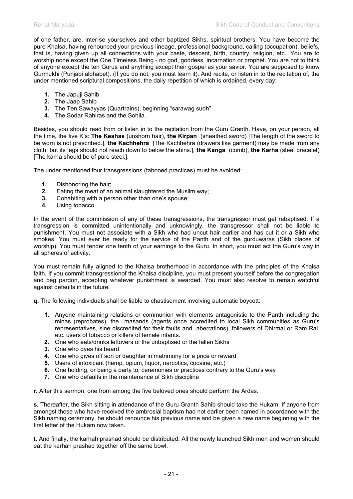of one father, are, inter-se yourselves and other baptized Sikhs, spiritual brothers. You have become the pure Khalsa, having renounced your previous lineage, professional background, calling (occupation), beliefs, that is, having given up all connections with your caste, descent, birth, country, religion, etc.. You are to worship none except the One Timeless Being - no god, goddess, incarnation or prophet. You are not to think of anyone except the ten Gurus and anything except their gospel as your savior. You are supposed to know Gurmukhi (Punjabi alphabet). (If you do not, you must learn it). And recite, or listen in to the recitation of, the under mentioned scriptural compositions, the daily repetition of which is ordained, every day:

- **1.** The Japuji Sahib
- **2.** The Jaap Sahib
- **3.** The Ten Sawayyas (Quartrains), beginning "sarawag sudh"
- **4.** The Sodar Rahiras and the Sohila.

Besides, you should read from or listen in to the recitation from the Guru Granth. Have, on your person, all the time, the five K's: **The Keshas** (unshorn hair), **the Kirpan** (sheathed sword) [The length of the sword to be worn is not prescribed.], **the Kachhehra** [The Kachhehra (drawers like garment) may be made from any cloth, but its legs should not reach down to below the shins.], **the Kanga** (comb), **the Karha** (steel bracelet) [The karha should be of pure steel.].

The under mentioned four transgressions (tabooed practices) must be avoided:

- **1.** Dishonoring the hair;
- **2.** Eating the meat of an animal slaughtered the Muslim way;
- **3.** Cohabiting with a person other than one's spouse;
- **4.** Using tobacco.

In the event of the commission of any of these transgressions, the transgressor must get rebaptised. If a transgression is committed unintentionally and unknowingly, the transgressor shall not be liable to punishment. You must not associate with a Sikh who had uncut hair earlier and has cut it or a Sikh who smokes. You must ever be ready for the service of the Panth and of the gurduwaras (Sikh places of worship). You must tender one tenth of your earnings to the Guru. In short, you must act the Guru's way in all spheres of activity.

You must remain fully aligned to the Khalsa brotherhood in accordance with the principles of the Khalsa faith. If you commit transgressionof the Khalsa discipline, you must present yourself before the congregation and beg pardon, accepting whatever punishment is awarded. You must also resolve to remain watchful against defaults in the future.

**q.** The following individuals shall be liable to chastisement involving automatic boycott:

- **1.** Anyone maintaining relations or communion with elements antagonistic to the Panth including the minas (reprobates), the masands (agents once accredited to local Sikh communities as Guru's representatives, sine discredited for their faults and aberrations), followers of Dhirmal or Ram Rai, etc. users of tobacco or killers of female infants.
- **2.** One who eats/drinks leftovers of the unbaptised or the fallen Sikhs
- **3.** One who dyes his beard
- **4.** One who gives off son or daughter in matrimony for a price or reward
- **5.** Users of intoxicant (hemp, opium, liquor, narcotics, cocaine, etc.)
- **6.** One holding, or being a party to, ceremonies or practices contrary to the Guru's way
- **7.** One who defaults in the maintenance of Sikh discipline

**r.** After this sermon, one from among the five beloved ones should perform the Ardas.

**s.** Thereafter, the Sikh sitting in attendance of the Guru Granth Sahib should take the Hukam. If anyone from amongst those who have received the ambrosial baptism had not earlier been named in accordance with the Sikh naming ceremony, he should renounce his previous name and be given a new name beginning with the first letter of the Hukam now taken.

**t.** And finally, the karhah prashad should be distributed. All the newly launched Sikh men and women should eat the karhah prashad together off the same bowl.